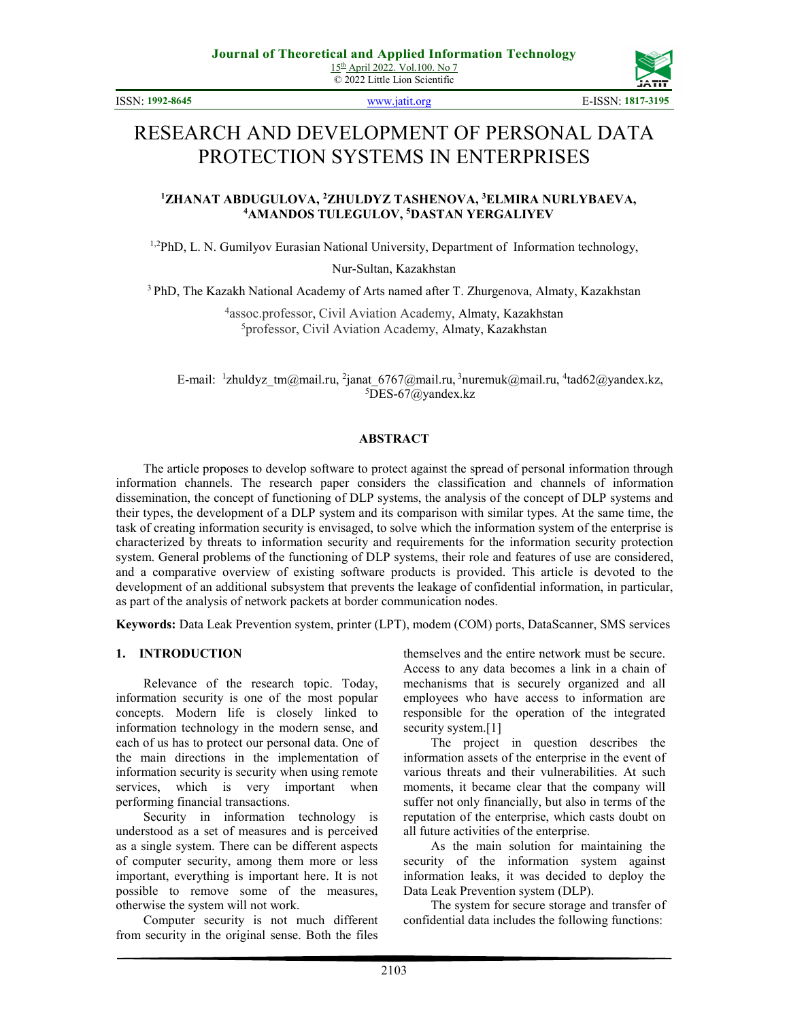© 2022 Little Lion Scientific

ISSN: **1992-8645** www.jatit.org E-ISSN: **1817-3195**



# RESEARCH AND DEVELOPMENT OF PERSONAL DATA PROTECTION SYSTEMS IN ENTERPRISES

## **<sup>1</sup>ZHANAT ABDUGULOVA, <sup>2</sup>ZHULDYZ TASHENOVA, <sup>3</sup>ELMIRA NURLYBAEVA, <sup>4</sup>AMANDOS TULEGULOV, <sup>5</sup>DASTAN YERGALIYEV**

1,2PhD, L. N. Gumilyov Eurasian National University, Department of Information technology,

Nur-Sultan, Kazakhstan

<sup>3</sup> PhD, The Kazakh National Academy of Arts named after T. Zhurgenova, Almaty, Kazakhstan

<sup>4</sup>assoc.professor, Civil Aviation Academy, Almaty, Kazakhstan <sup>5</sup>professor, Civil Aviation Academy, Almaty, Kazakhstan

E-mail: <sup>1</sup>zhuldyz\_tm@mail.ru, <sup>2</sup>janat\_6767@mail.ru, <sup>3</sup>nuremuk@mail.ru, <sup>4</sup>tad62@yandex.kz,  $5$ DES-67@yandex.kz

#### **ABSTRACT**

The article proposes to develop software to protect against the spread of personal information through information channels. The research paper considers the classification and channels of information dissemination, the concept of functioning of DLP systems, the analysis of the concept of DLP systems and their types, the development of a DLP system and its comparison with similar types. At the same time, the task of creating information security is envisaged, to solve which the information system of the enterprise is characterized by threats to information security and requirements for the information security protection system. General problems of the functioning of DLP systems, their role and features of use are considered, and a comparative overview of existing software products is provided. This article is devoted to the development of an additional subsystem that prevents the leakage of confidential information, in particular, as part of the analysis of network packets at border communication nodes.

**Keywords:** Data Leak Prevention system, printer (LPT), modem (COM) ports, DataScanner, SMS services

#### **1. INTRODUCTION**

Relevance of the research topic. Today, information security is one of the most popular concepts. Modern life is closely linked to information technology in the modern sense, and each of us has to protect our personal data. One of the main directions in the implementation of information security is security when using remote services, which is very important when performing financial transactions.

Security in information technology is understood as a set of measures and is perceived as a single system. There can be different aspects of computer security, among them more or less important, everything is important here. It is not possible to remove some of the measures, otherwise the system will not work.

Computer security is not much different from security in the original sense. Both the files

themselves and the entire network must be secure. Access to any data becomes a link in a chain of mechanisms that is securely organized and all employees who have access to information are responsible for the operation of the integrated security system.[1]

The project in question describes the information assets of the enterprise in the event of various threats and their vulnerabilities. At such moments, it became clear that the company will suffer not only financially, but also in terms of the reputation of the enterprise, which casts doubt on all future activities of the enterprise.

As the main solution for maintaining the security of the information system against information leaks, it was decided to deploy the Data Leak Prevention system (DLP).

The system for secure storage and transfer of confidential data includes the following functions: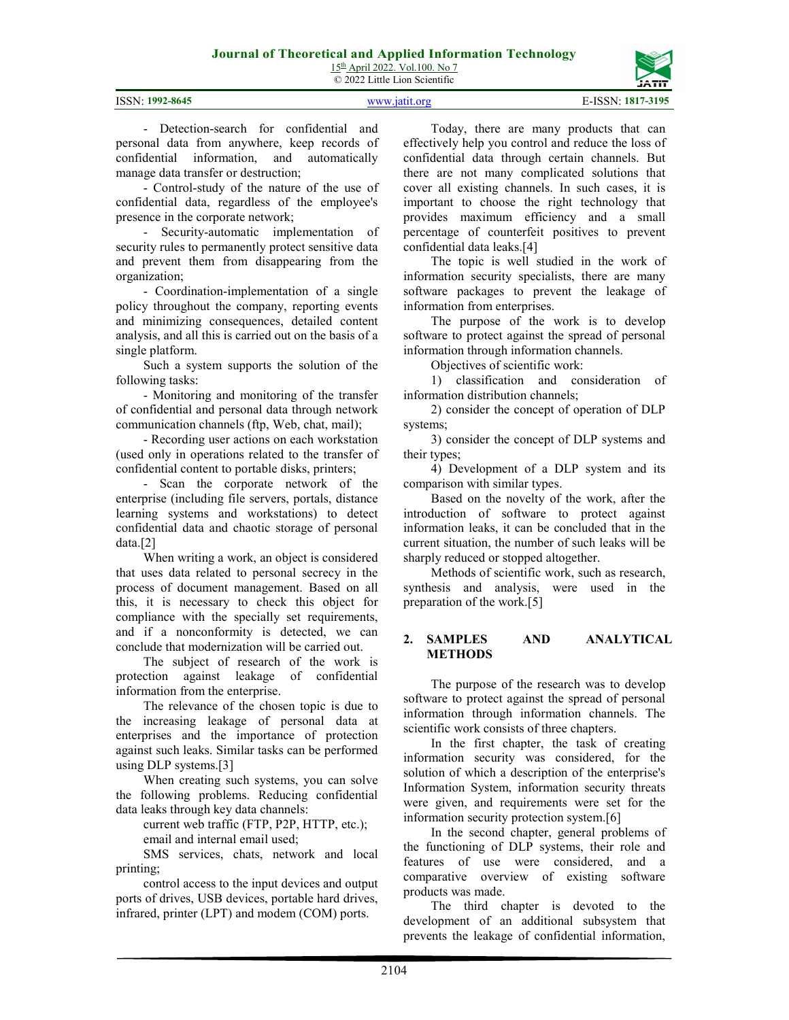15<sup>th</sup> April 2022. Vol.100. No 7 © 2022 Little Lion Scientific

2104

Today, there are many products that can effectively help you control and reduce the loss of confidential data through certain channels. But there are not many complicated solutions that cover all existing channels. In such cases, it is important to choose the right technology that provides maximum efficiency and a small percentage of counterfeit positives to prevent confidential data leaks.[4]

The topic is well studied in the work of information security specialists, there are many software packages to prevent the leakage of information from enterprises.

The purpose of the work is to develop software to protect against the spread of personal information through information channels.

Objectives of scientific work:

1) classification and consideration of information distribution channels;

2) consider the concept of operation of DLP systems;

3) consider the concept of DLP systems and their types;

4) Development of a DLP system and its comparison with similar types.

Based on the novelty of the work, after the introduction of software to protect against information leaks, it can be concluded that in the current situation, the number of such leaks will be sharply reduced or stopped altogether.

Methods of scientific work, such as research, synthesis and analysis, were used in the preparation of the work.[5]

#### **2. SAMPLES AND ANALYTICAL METHODS**

The purpose of the research was to develop software to protect against the spread of personal information through information channels. The scientific work consists of three chapters.

In the first chapter, the task of creating information security was considered, for the solution of which a description of the enterprise's Information System, information security threats were given, and requirements were set for the information security protection system.[6]

In the second chapter, general problems of the functioning of DLP systems, their role and features of use were considered, and a comparative overview of existing software products was made.

The third chapter is devoted to the development of an additional subsystem that prevents the leakage of confidential information,

- Detection-search for confidential and personal data from anywhere, keep records of confidential information, and automatically manage data transfer or destruction;

- Control-study of the nature of the use of confidential data, regardless of the employee's presence in the corporate network;

- Security-automatic implementation of security rules to permanently protect sensitive data and prevent them from disappearing from the organization;

- Coordination-implementation of a single policy throughout the company, reporting events and minimizing consequences, detailed content analysis, and all this is carried out on the basis of a single platform.

Such a system supports the solution of the following tasks:

- Monitoring and monitoring of the transfer of confidential and personal data through network communication channels (ftp, Web, chat, mail);

- Recording user actions on each workstation (used only in operations related to the transfer of confidential content to portable disks, printers;

- Scan the corporate network of the enterprise (including file servers, portals, distance learning systems and workstations) to detect confidential data and chaotic storage of personal data.[2]

When writing a work, an object is considered that uses data related to personal secrecy in the process of document management. Based on all this, it is necessary to check this object for compliance with the specially set requirements, and if a nonconformity is detected, we can conclude that modernization will be carried out.

The subject of research of the work is protection against leakage of confidential information from the enterprise.

The relevance of the chosen topic is due to the increasing leakage of personal data at enterprises and the importance of protection against such leaks. Similar tasks can be performed using DLP systems.[3]

When creating such systems, you can solve the following problems. Reducing confidential data leaks through key data channels:

current web traffic (FTP, P2P, HTTP, etc.);

email and internal email used;

SMS services, chats, network and local printing;

control access to the input devices and output ports of drives, USB devices, portable hard drives, infrared, printer (LPT) and modem (COM) ports.

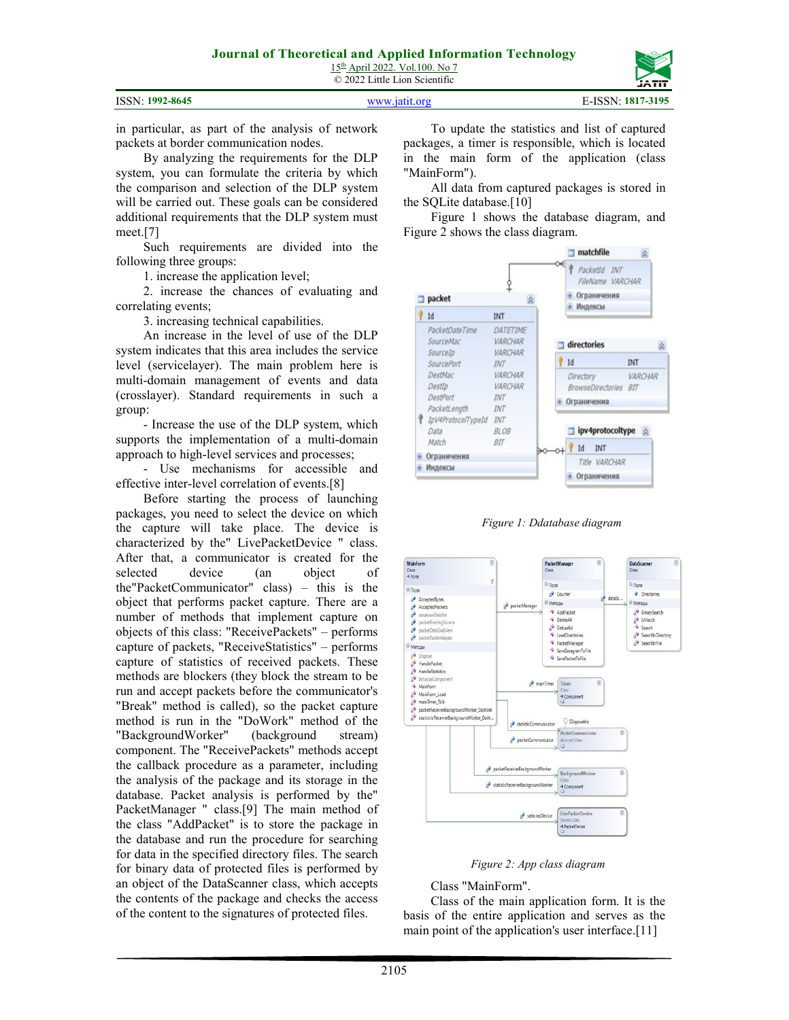15th April 2022. Vol.100. No 7 © 2022 Little Lion Scientific

|                 |               | ------            |
|-----------------|---------------|-------------------|
| ISSN: 1992-8645 | WWW istit org | E-ISSN: 1817-3195 |

in particular, as part of the analysis of network packets at border communication nodes.

By analyzing the requirements for the DLP system, you can formulate the criteria by which the comparison and selection of the DLP system will be carried out. These goals can be considered additional requirements that the DLP system must meet.[7]

Such requirements are divided into the following three groups:

1. increase the application level;

2. increase the chances of evaluating and correlating events;

3. increasing technical capabilities.

An increase in the level of use of the DLP system indicates that this area includes the service level (servicelayer). The main problem here is multi-domain management of events and data (crosslayer). Standard requirements in such a group:

- Increase the use of the DLP system, which supports the implementation of a multi-domain approach to high-level services and processes;

- Use mechanisms for accessible and effective inter-level correlation of events.[8]

Before starting the process of launching packages, you need to select the device on which the capture will take place. The device is characterized by the" LivePacketDevice " class. After that, a communicator is created for the selected device (an object of (an object of the"PacketCommunicator" class) – this is the object that performs packet capture. There are a number of methods that implement capture on objects of this class: "ReceivePackets" – performs capture of packets, "ReceiveStatistics" – performs capture of statistics of received packets. These methods are blockers (they block the stream to be run and accept packets before the communicator's "Break" method is called), so the packet capture method is run in the "DoWork" method of the "BackgroundWorker" (background stream) component. The "ReceivePackets" methods accept the callback procedure as a parameter, including the analysis of the package and its storage in the database. Packet analysis is performed by the" PacketManager " class.[9] The main method of the class "AddPacket" is to store the package in the database and run the procedure for searching for data in the specified directory files. The search for binary data of protected files is performed by an object of the DataScanner class, which accepts the contents of the package and checks the access of the content to the signatures of protected files.

To update the statistics and list of captured packages, a timer is responsible, which is located in the main form of the application (class "MainForm").

All data from captured packages is stored in the SQLite database.[10]

Figure 1 shows the database diagram, and Figure 2 shows the class diagram.







*Figure 2: App class diagram* 

Class "MainForm".

Class of the main application form. It is the basis of the entire application and serves as the main point of the application's user interface.<sup>[11]</sup>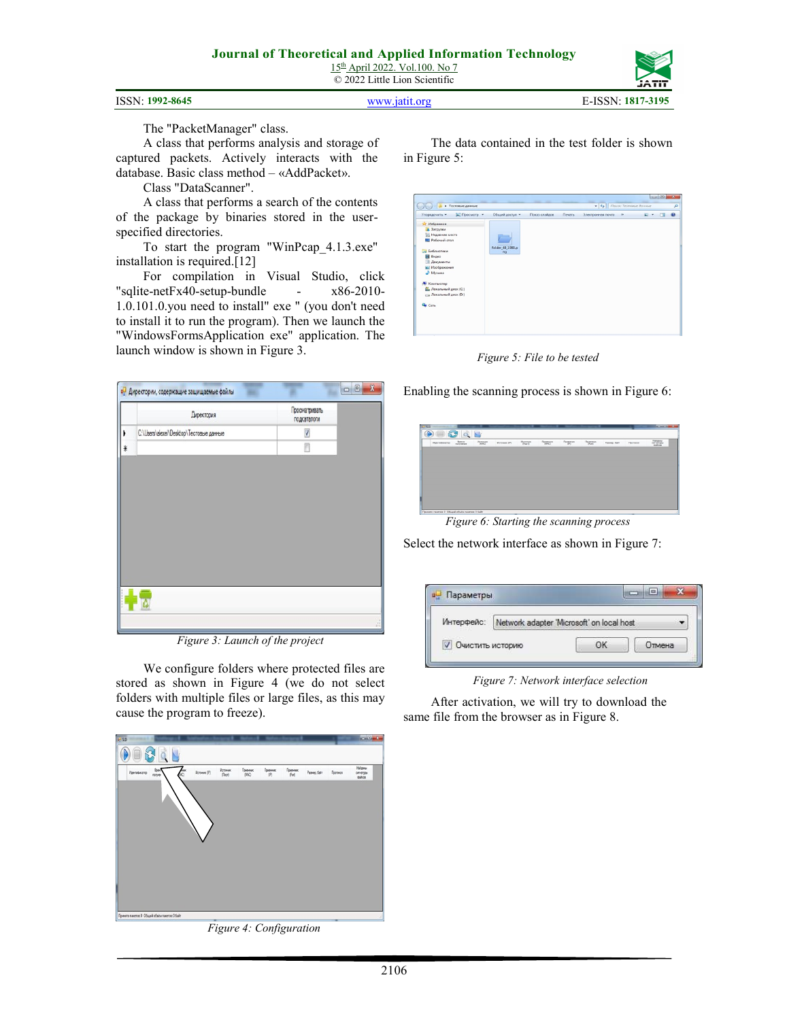15th April 2022. Vol.100. No 7 © 2022 Little Lion Scientific

```
ISSN: 1992-8645 www.jatit.org E-ISSN: 1817-3195
```


The "PacketManager" class.

A class that performs analysis and storage of captured packets. Actively interacts with the database. Basic class method – «AddPacket».

Class "DataScanner".

A class that performs a search of the contents of the package by binaries stored in the userspecified directories.

To start the program "WinPcap\_4.1.3.exe" installation is required.[12]

For compilation in Visual Studio, click "sqlite-netFx40-setup-bundle - x86-2010- 1.0.101.0.you need to install" exe " (you don't need to install it to run the program). Then we launch the "WindowsFormsApplication exe" application. The launch window is shown in Figure 3.



*Figure 3: Launch of the project* 

We configure folders where protected files are stored as shown in Figure 4 (we do not select folders with multiple files or large files, as this may cause the program to freeze).

**Victorese:**<br>(Topr) **Toressex**  $\begin{matrix} \text{Poisson} \\ \langle \hat{\mathbb{P}} \rangle \end{matrix}$  $\begin{array}{c} \text{Poisson} \\ \text{(tot)} \end{array}$ Haluewi<br>omstripu

*Figure 4: Configuration* 

The data contained in the test folder is shown in Figure 5:

| <b>[</b> Просмотр •<br>Упорядочить - | Общий доступ -   | Показ слайдов | Печать | Электронная почта | 33 | 四 - | $\Box$ | $\Omega$ |
|--------------------------------------|------------------|---------------|--------|-------------------|----|-----|--------|----------|
|                                      |                  |               |        |                   |    |     |        |          |
| и Избранное                          |                  |               |        |                   |    |     |        |          |
| В. Загрузки                          |                  |               |        |                   |    |     |        |          |
| <b>Е Недавние места</b>              |                  |               |        |                   |    |     |        |          |
| Рабочий стол                         |                  |               |        |                   |    |     |        |          |
|                                      | folder_48_1988.p |               |        |                   |    |     |        |          |
| Виблиотеки                           | ng               |               |        |                   |    |     |        |          |
| <b>El</b> Bigeo                      |                  |               |        |                   |    |     |        |          |
| • Документы                          |                  |               |        |                   |    |     |        |          |
| - Изображения<br>") Музыка           |                  |               |        |                   |    |     |        |          |
|                                      |                  |               |        |                   |    |     |        |          |
| <b>В Компьютер</b>                   |                  |               |        |                   |    |     |        |          |
| Покальный диск (С:)                  |                  |               |        |                   |    |     |        |          |
| <b>Покальный диск (D:)</b>           |                  |               |        |                   |    |     |        |          |
|                                      |                  |               |        |                   |    |     |        |          |
| Gu Cerb                              |                  |               |        |                   |    |     |        |          |
|                                      |                  |               |        |                   |    |     |        |          |

*Figure 5: File to be tested* 

Enabling the scanning process is shown in Figure 6:

| Идентификатор | filmes<br>получения | Physical | Истонник (IP) | <b>Minimum</b><br>(Topy) | Поление<br>(MAC) | Поление<br>(0) | Поминен<br>$\sigma_{\rm M0}$ | <b>Fassep</b> , Sain | Претокол | <b>Hahama</b><br>onversous<br><b>Galvin</b> |
|---------------|---------------------|----------|---------------|--------------------------|------------------|----------------|------------------------------|----------------------|----------|---------------------------------------------|
|               |                     |          |               |                          |                  |                |                              |                      |          |                                             |
|               |                     |          |               |                          |                  |                |                              |                      |          |                                             |
|               |                     |          |               |                          |                  |                |                              |                      |          |                                             |
|               |                     |          |               |                          |                  |                |                              |                      |          |                                             |
|               |                     |          |               |                          |                  |                |                              |                      |          |                                             |
|               |                     |          |               |                          |                  |                |                              |                      |          |                                             |
|               |                     |          |               |                          |                  |                |                              |                      |          |                                             |
|               |                     |          |               |                          |                  |                |                              |                      |          |                                             |

*Figure 6: Starting the scanning process* 

Select the network interface as shown in Figure 7:

| Интерфейс:       | Network adapter 'Microsoft' on local host |    |        |  |
|------------------|-------------------------------------------|----|--------|--|
| Очистить историю |                                           | OК | Отмена |  |

*Figure 7: Network interface selection* 

After activation, we will try to download the same file from the browser as in Figure 8.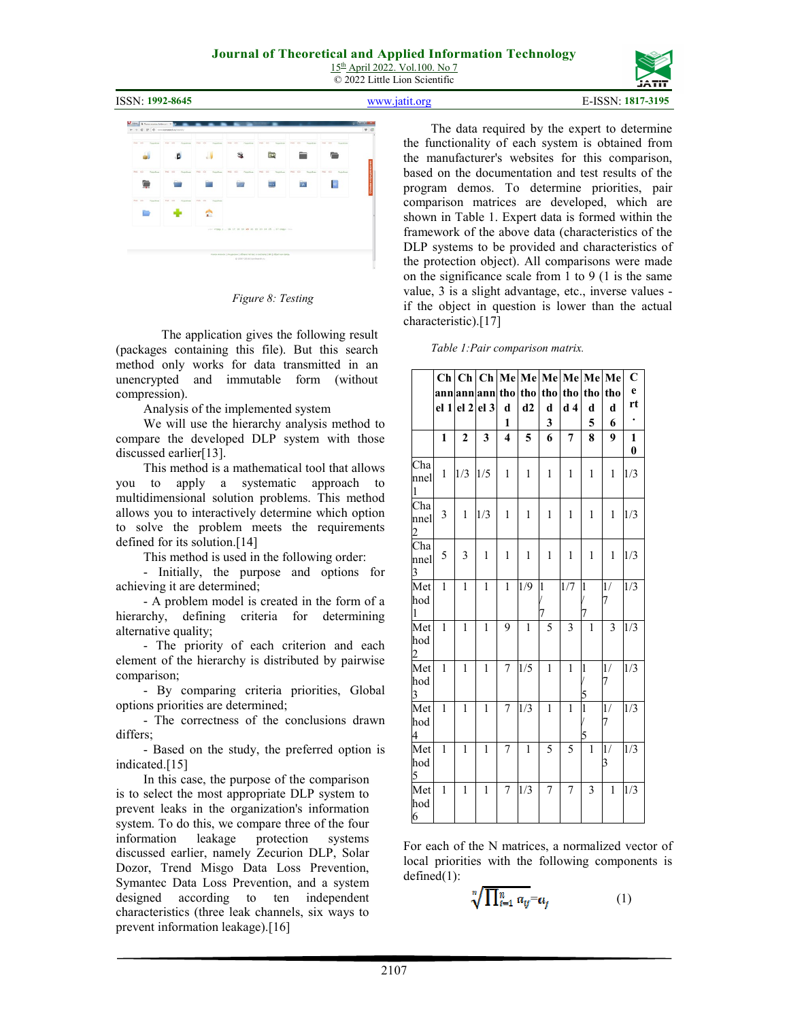# **Journal of Theoretical and Applied Information Technology**

15th April 2022. Vol.100. No 7 © 2022 Little Lion Scientific



ISSN: **1992-8645** www.jatit.org E-ISSN: **1817-3195**



*Figure 8: Testing* 

The application gives the following result (packages containing this file). But this search method only works for data transmitted in an unencrypted and immutable form (without compression).

Analysis of the implemented system

We will use the hierarchy analysis method to compare the developed DLP system with those discussed earlier[13].

This method is a mathematical tool that allows you to apply a systematic approach to multidimensional solution problems. This method allows you to interactively determine which option to solve the problem meets the requirements defined for its solution.[14]

This method is used in the following order:

- Initially, the purpose and options for achieving it are determined;

- A problem model is created in the form of a hierarchy, defining criteria for determining alternative quality;

- The priority of each criterion and each element of the hierarchy is distributed by pairwise comparison;

- By comparing criteria priorities, Global options priorities are determined;

- The correctness of the conclusions drawn differs;

- Based on the study, the preferred option is indicated.[15]

In this case, the purpose of the comparison is to select the most appropriate DLP system to prevent leaks in the organization's information system. To do this, we compare three of the four information leakage protection systems discussed earlier, namely Zecurion DLP, Solar Dozor, Trend Misgo Data Loss Prevention, Symantec Data Loss Prevention, and a system designed according to ten independent characteristics (three leak channels, six ways to prevent information leakage).[16]

The data required by the expert to determine the functionality of each system is obtained from the manufacturer's websites for this comparison, based on the documentation and test results of the program demos. To determine priorities, pair comparison matrices are developed, which are shown in Table 1. Expert data is formed within the framework of the above data (characteristics of the DLP systems to be provided and characteristics of the protection object). All comparisons were made on the significance scale from 1 to 9 (1 is the same value, 3 is a slight advantage, etc., inverse values if the object in question is lower than the actual characteristic).[17]

*Table 1:Pair comparison matrix.* 

|                        | Ch <sub>1</sub> |                | $Ch$ $Ch$       |                         | Me Me        | Me           |                | Me Me          | Me           | $\overline{C}$ |
|------------------------|-----------------|----------------|-----------------|-------------------------|--------------|--------------|----------------|----------------|--------------|----------------|
|                        |                 |                |                 | tho                     | tho          | tho          | tho            | tho            | tho          | $\mathbf{e}$   |
|                        | annann          |                | ann             |                         |              |              |                |                |              | rt             |
|                        | el <sub>1</sub> | el 2           | el <sub>3</sub> | d                       | d2           | d            | d <sub>4</sub> | d              | d            |                |
|                        |                 |                |                 | 1                       |              | 3            |                | 5              | 6            |                |
|                        | $\mathbf{1}$    | $\overline{2}$ | 3               | $\overline{\mathbf{4}}$ | 5            | 6            | 7              | 8              | 9            | $\mathbf{1}$   |
|                        |                 |                |                 |                         |              |              |                |                |              | $\bf{0}$       |
| Cha<br>nnel            | $\mathbf{1}$    | 1/3            | 1/5             | $\mathbf{1}$            | $\mathbf{1}$ | $\mathbf{1}$ | $\mathbf{1}$   | $\mathbf{1}$   | $\mathbf{1}$ | 1/3            |
| $\mathbf{1}$           |                 |                |                 |                         |              |              |                |                |              |                |
| Cha                    | 3               | 1              | 1/3             | $\mathbf{1}$            | $\mathbf{1}$ | $\mathbf{1}$ | $\mathbf{1}$   | $\mathbf{1}$   | $\mathbf{1}$ | 1/3            |
| nnel<br>$\overline{2}$ |                 |                |                 |                         |              |              |                |                |              |                |
| Cha                    | 5               | 3              | $\mathbf{1}$    | $\mathbf{1}$            | 1            | $\mathbf{1}$ | 1              | 1              | $\mathbf{1}$ | 1/3            |
| nnel<br>3              |                 |                |                 |                         |              |              |                |                |              |                |
| Met                    | $\mathbf{1}$    | $\mathbf{1}$   | $\mathbf{1}$    | $\mathbf{1}$            | 1/9          | $\mathbf{1}$ | 1/7            | $\mathbf{1}$   | 1/           | 1/3            |
| hod<br>$\mathbf{1}$    |                 |                |                 |                         |              | 7            |                | 7              | 7            |                |
| Met                    | $\mathbf{1}$    | $\mathbf{1}$   | $\mathbf{1}$    | 9                       | $\mathbf{1}$ | 5            | 3              | $\mathbf{1}$   | 3            | 1/3            |
| hod<br>2               |                 |                |                 |                         |              |              |                |                |              |                |
| Met                    | $\mathbf{1}$    | $\mathbf{1}$   | $\mathbf{1}$    | 7                       | 1/5          | $\mathbf{1}$ | $\mathbf{1}$   | $\overline{1}$ | 1/           | 1/3            |
| hod                    |                 |                |                 |                         |              |              |                |                | 7            |                |
| 3                      |                 |                |                 |                         |              |              |                | 5              |              |                |
| Met<br>hod             | 1               | $\mathbf{1}$   | $\mathbf{1}$    | 7                       | 1/3          | $\mathbf{1}$ | $\mathbf{1}$   | $\mathbf{1}$   | 1/<br>7      | 1/3            |
| 4                      |                 |                |                 |                         |              |              |                | 5              |              |                |
| Met                    | $\mathbf{1}$    | 1              | $\mathbf{1}$    | 7                       | $\mathbf{1}$ | 5            | 5              | 1              | 1/           | 1/3            |
| hod                    |                 |                |                 |                         |              |              |                |                | 3            |                |
| 5                      |                 |                |                 |                         |              |              |                |                |              |                |
| Met                    | $\mathbf{1}$    | $\mathbf{1}$   | $\mathbf{1}$    | 7                       | 1/3          | 7            | 7              | 3              | $\mathbf{1}$ | 1/3            |
| hod<br>6               |                 |                |                 |                         |              |              |                |                |              |                |

For each of the N matrices, a normalized vector of local priorities with the following components is defined(1):

$$
\sqrt[n]{\prod_{i=1}^n a_{ij}} = a_j \tag{1}
$$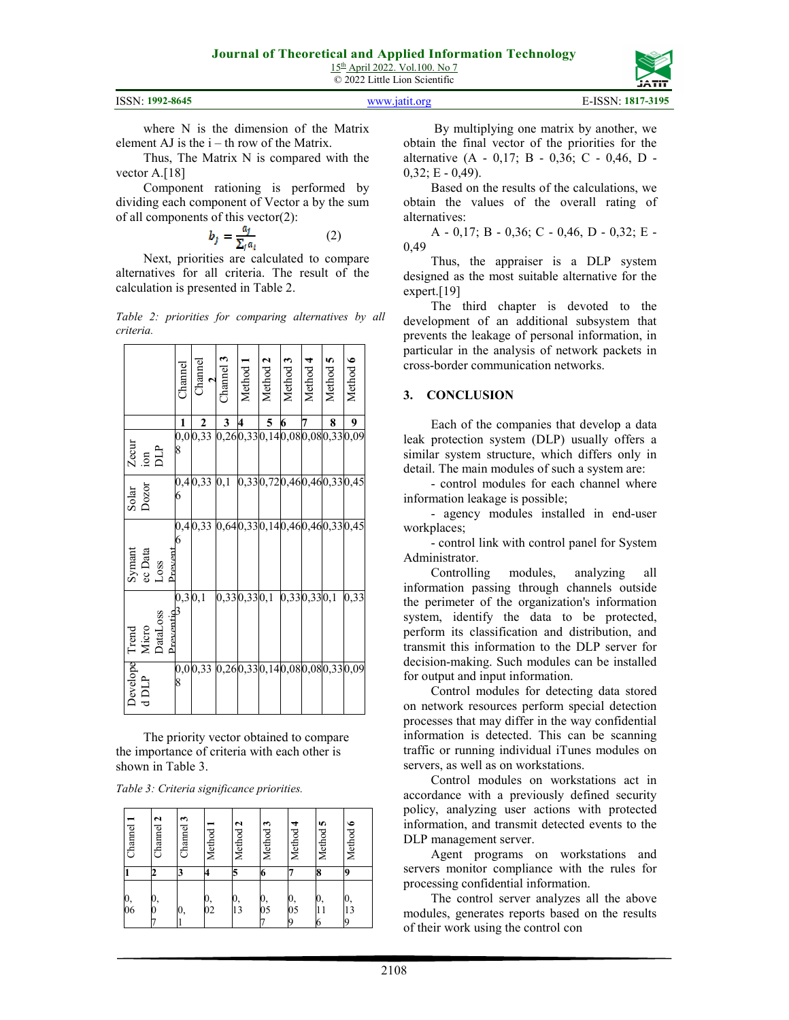15th April 2022. Vol.100. No 7 © 2022 Little Lion Scientific

|  | ISSN: 1992-8645 |
|--|-----------------|
|--|-----------------|

www.jatit.org **E-ISSN: 1817-3195** 

where N is the dimension of the Matrix element AJ is the  $i - th$  row of the Matrix.

Thus, The Matrix N is compared with the vector A.<sup>[18]</sup>

Component rationing is performed by dividing each component of Vector a by the sum of all components of this vector(2):

$$
b_j = \frac{\alpha_j}{\sum_j \alpha_i} \tag{2}
$$

Next, priorities are calculated to compare alternatives for all criteria. The result of the calculation is presented in Table 2.

*Table 2: priorities for comparing alternatives by all criteria.*

|                                   |         |                       | Channel | Channel<br>$\overline{a}$ | $_7$ hannel 3                | Method 1 | Method 2                | Method 3    | Method 4 | Method 5                 | Method 6 |
|-----------------------------------|---------|-----------------------|---------|---------------------------|------------------------------|----------|-------------------------|-------------|----------|--------------------------|----------|
|                                   |         |                       | 1       | $\boldsymbol{2}$          | 3                            | 4        | $\overline{\mathbf{5}}$ | 6           | 7        | 8                        | 9        |
| $\frac{\text{Zecur}}{\text{ion}}$ |         |                       | 8       | 0,00,33                   | 0,260,330,140,080,080,330,09 |          |                         |             |          |                          |          |
| Solar<br>Dozor                    |         |                       | 6       | 0,40,33                   | 0,1                          |          |                         |             |          | 0,330,720,460,460,330,45 |          |
| Symant<br>ec Data<br>Loss         |         | Preven'               | 6       | 0,40,33                   | 0,640,330,140,460,460,330,45 |          |                         |             |          |                          |          |
| Trend<br>Micro<br>DataLoss        |         | Lucantio<br>Preventio | 0,3 0,1 |                           | 0,330,330,1                  |          |                         | 0,330,330,1 |          |                          | 0,33     |
| Develope                          | $d$ DLP |                       | 8       | 0,00,33                   | 0,260,330,140,080,080,330,09 |          |                         |             |          |                          |          |

The priority vector obtained to compare the importance of criteria with each other is shown in Table 3.

*Table 3: Сriteria significance priorities.* 

| Channel  | Channel 2 | Channel 3 | Method   | Method 2 | S<br>Method | 4<br>Method   | n<br>Method   | $\bullet$<br>Method |  |
|----------|-----------|-----------|----------|----------|-------------|---------------|---------------|---------------------|--|
|          | z.        |           | 4        | 5        | 6           |               | 8             | g                   |  |
| 0,<br>06 | 0,        | 0,        | 0,<br>02 | 0,<br>13 | 0,<br>05    | 0,<br>05<br>9 | 0,<br>11<br>6 | 0,<br>13<br>9       |  |

 By multiplying one matrix by another, we obtain the final vector of the priorities for the alternative (A - 0,17; B - 0,36; C - 0,46, D -  $0,32; E - 0,49$ ).

Based on the results of the calculations, we obtain the values of the overall rating of alternatives:

А - 0,17; B - 0,36; C - 0,46, D - 0,32; E - 0,49

Thus, the appraiser is a DLP system designed as the most suitable alternative for the expert.[19]

The third chapter is devoted to the development of an additional subsystem that prevents the leakage of personal information, in particular in the analysis of network packets in cross-border communication networks.

#### **3. CONCLUSION**

Each of the companies that develop a data leak protection system (DLP) usually offers a similar system structure, which differs only in detail. The main modules of such a system are:

- control modules for each channel where information leakage is possible;

- agency modules installed in end-user workplaces;

- control link with control panel for System Administrator.

Controlling modules, analyzing all information passing through channels outside the perimeter of the organization's information system, identify the data to be protected, perform its classification and distribution, and transmit this information to the DLP server for decision-making. Such modules can be installed for output and input information.

Control modules for detecting data stored on network resources perform special detection processes that may differ in the way confidential information is detected. This can be scanning traffic or running individual iTunes modules on servers, as well as on workstations.

Control modules on workstations act in accordance with a previously defined security policy, analyzing user actions with protected information, and transmit detected events to the DLP management server.

Agent programs on workstations and servers monitor compliance with the rules for processing confidential information.

The control server analyzes all the above modules, generates reports based on the results of their work using the control con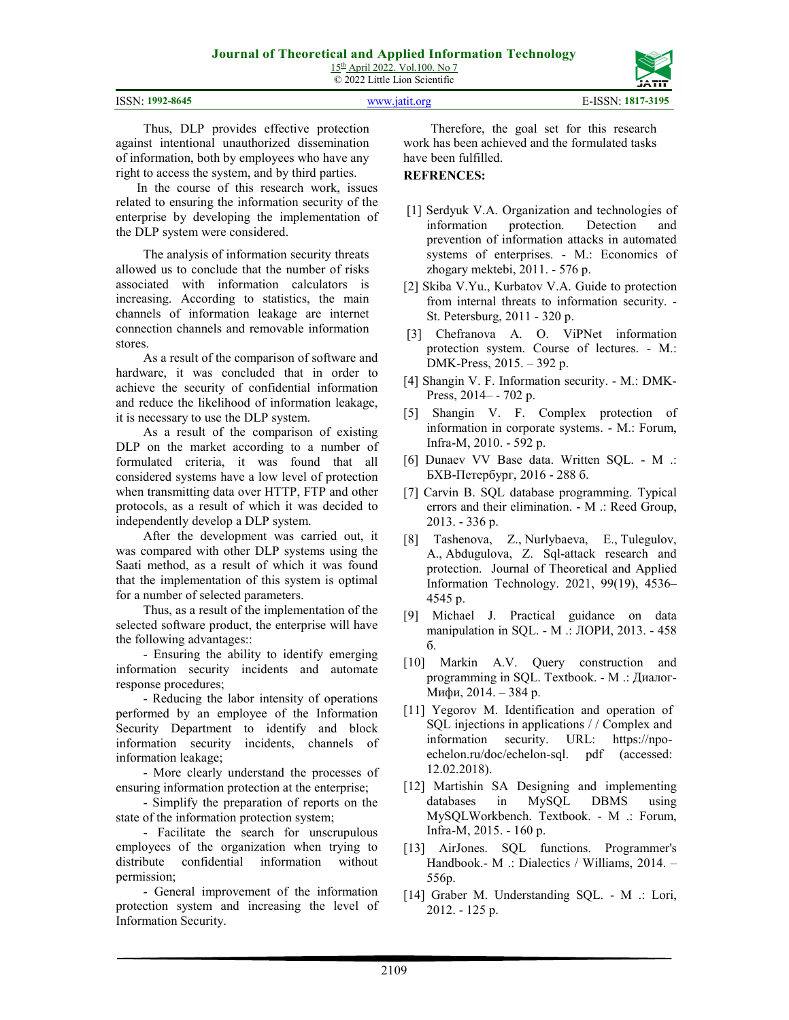15<sup>th</sup> April 2022. Vol.100. No 7 © 2022 Little Lion Scientific

| ISSN: 1992-8645 | www.jatit.org | E-ISSN: 1817-3195 |
|-----------------|---------------|-------------------|

Thus, DLP provides effective protection against intentional unauthorized dissemination of information, both by employees who have any right to access the system, and by third parties.

In the course of this research work, issues related to ensuring the information security of the enterprise by developing the implementation of the DLP system were considered.

The analysis of information security threats allowed us to conclude that the number of risks associated with information calculators is increasing. According to statistics, the main channels of information leakage are internet connection channels and removable information stores.

As a result of the comparison of software and hardware, it was concluded that in order to achieve the security of confidential information and reduce the likelihood of information leakage, it is necessary to use the DLP system.

As a result of the comparison of existing DLP on the market according to a number of formulated criteria, it was found that all considered systems have a low level of protection when transmitting data over HTTP, FTP and other protocols, as a result of which it was decided to independently develop a DLP system.

After the development was carried out, it was compared with other DLP systems using the Saati method, as a result of which it was found that the implementation of this system is optimal for a number of selected parameters.

Thus, as a result of the implementation of the selected software product, the enterprise will have the following advantages::

- Ensuring the ability to identify emerging information security incidents and automate response procedures;

- Reducing the labor intensity of operations performed by an employee of the Information Security Department to identify and block information security incidents, channels of information leakage;

- More clearly understand the processes of ensuring information protection at the enterprise;

- Simplify the preparation of reports on the state of the information protection system;

- Facilitate the search for unscrupulous employees of the organization when trying to distribute confidential information without permission;

- General improvement of the information protection system and increasing the level of Information Security.

Therefore, the goal set for this research work has been achieved and the formulated tasks have been fulfilled.

## **REFRENCES:**

- [1] Serdyuk V.A. Organization and technologies of information protection. Detection and prevention of information attacks in automated systems of enterprises. - M.: Economics of zhogary mektebi, 2011. - 576 p.
- [2] Skiba V.Yu., Kurbatov V.A. Guide to protection from internal threats to information security. - St. Petersburg, 2011 - 320 p.
- [3] Chefranova A. O. ViPNet information protection system. Course of lectures. - M.: DMK-Press, 2015. – 392 p.
- [4] Shangin V. F. Information security. M.: DMK-Press, 2014– - 702 p.
- [5] Shangin V. F. Complex protection of information in corporate systems. - M.: Forum, Infra-M, 2010. - 592 p.
- [6] Dunaev VV Base data. Written SQL. М .: БХВ-Петербург, 2016 - 288 б.
- [7] Carvin B. SQL database programming. Typical errors and their elimination. - M .: Reed Group, 2013. - 336 p.
- [8] Tashenova, Z., Nurlybaeva, E., Tulegulov, A., Abdugulova, Z. Sql-attack research and protection. Journal of Theoretical and Applied Information Technology. 2021, 99(19), 4536– 4545 p.
- [9] Michael J. Practical guidance on data manipulation in SQL. - М .: ЛОРИ, 2013. - 458 б.
- [10] Markin A.V. Query construction and programming in SQL. Textbook. - М .: Диалог-Мифи, 2014. – 384 p.
- [11] Yegorov M. Identification and operation of SQL injections in applications / / Complex and information security. URL: https://npoechelon.ru/doc/echelon-sql. pdf (accessed: 12.02.2018).
- [12] Martishin SA Designing and implementing databases in MySQL DBMS using MySQLWorkbench. Textbook. - M .: Forum, Infra-M, 2015. - 160 p.
- [13] AirJones. SQL functions. Programmer's Handbook.- M .: Dialectics / Williams, 2014. – 556p.
- [14] Graber M. Understanding SQL. M .: Lori, 2012. - 125 p.